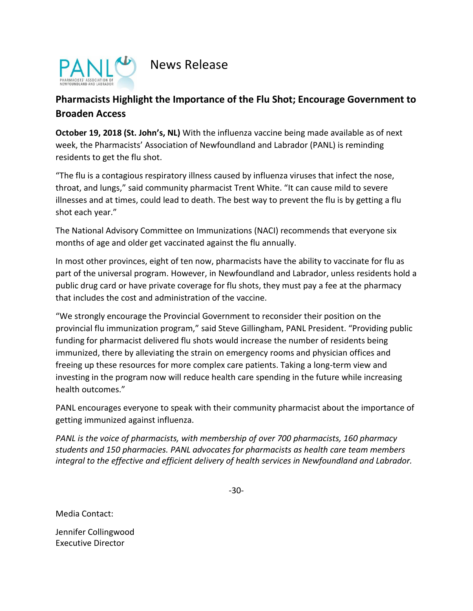

News Release

## **Pharmacists Highlight the Importance of the Flu Shot; Encourage Government to Broaden Access**

**October 19, 2018 (St. John's, NL)** With the influenza vaccine being made available as of next week, the Pharmacists' Association of Newfoundland and Labrador (PANL) is reminding residents to get the flu shot.

"The flu is a contagious respiratory illness caused by influenza viruses that infect the nose, throat, and lungs," said community pharmacist Trent White. "It can cause mild to severe illnesses and at times, could lead to death. The best way to prevent the flu is by getting a flu shot each year."

The National Advisory Committee on Immunizations (NACI) recommends that everyone six months of age and older get vaccinated against the flu annually.

In most other provinces, eight of ten now, pharmacists have the ability to vaccinate for flu as part of the universal program. However, in Newfoundland and Labrador, unless residents hold a public drug card or have private coverage for flu shots, they must pay a fee at the pharmacy that includes the cost and administration of the vaccine.

"We strongly encourage the Provincial Government to reconsider their position on the provincial flu immunization program," said Steve Gillingham, PANL President. "Providing public funding for pharmacist delivered flu shots would increase the number of residents being immunized, there by alleviating the strain on emergency rooms and physician offices and freeing up these resources for more complex care patients. Taking a long-term view and investing in the program now will reduce health care spending in the future while increasing health outcomes."

PANL encourages everyone to speak with their community pharmacist about the importance of getting immunized against influenza.

*PANL is the voice of pharmacists, with membership of over 700 pharmacists, 160 pharmacy students and 150 pharmacies. PANL advocates for pharmacists as health care team members integral to the effective and efficient delivery of health services in Newfoundland and Labrador.*

-30-

Media Contact:

Jennifer Collingwood Executive Director